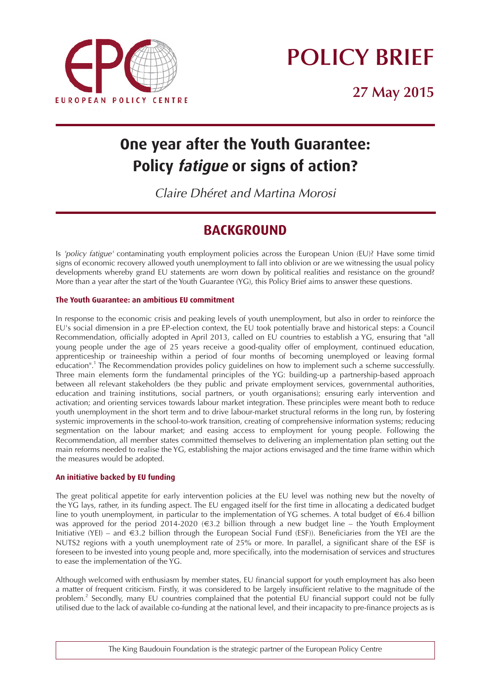

# **POLICY BRIEF**

**27 May 2015**

# **One year after the Youth Guarantee: Policy fatigue or signs of action?**

*Claire Dhéret and Martina Morosi*

### **BACKGROUND**

*Is 'policy fatigue' contaminating youth employment policies across the European Union (EU)? Have some timid signs of economic recovery allowed youth unemployment to fall into oblivion or are we witnessing the usual policy developments whereby grand EU statements are worn down by political realities and resistance on the ground? More than a year after the start of the Youth Guarantee (YG), this Policy Brief aims to answer these questions.*

#### **The Youth Guarantee: an ambitious EU commitment**

*In response to the economic crisis and peaking levels of youth unemployment, but also in order to reinforce the EU's social dimension in a pre EP-election context, the EU took potentially brave and historical steps: a Council Recommendation, officially adopted in April 2013, called on EU countries to establish a YG, ensuring that "all young people under the age of 25 years receive a good-quality offer of employment, continued education, apprenticeship or traineeship within a period of four months of becoming unemployed or leaving formal education". <sup>1</sup> The Recommendation provides policy guidelines on how to implement such a scheme successfully. Three main elements form the fundamental principles of the YG: building-up a partnership-based approach between all relevant stakeholders (be they public and private employment services, governmental authorities, education and training institutions, social partners, or youth organisations); ensuring early intervention and activation; and orienting services towards labour market integration. These principles were meant both to reduce youth unemployment in the short term and to drive labour-market structural reforms in the long run, by fostering systemic improvements in the school-to-work transition, creating of comprehensive information systems; reducing segmentation on the labour market; and easing access to employment for young people. Following the Recommendation, all member states committed themselves to delivering an implementation plan setting out the main reforms needed to realise the YG, establishing the major actions envisaged and the time frame within which the measures would be adopted.* 

#### **An initiative backed by EU funding**

The great political appetite for early intervention policies at the EU level was nothing new but the novelty of *the YG lays, rather, in its funding aspect. The EU engaged itself for the first time in allocating a dedicated budget line to youth unemployment, in particular to the implementation of YG schemes. A total budget of €6.4 billion was approved for the period 2014-2020 (*€*3.2 billion through a new budget line – the Youth Employment Initiative (YEI) – and* €*3.2 billion through the European Social Fund (ESF)). Beneficiaries from the YEI are the NUTS2 regions with a youth unemployment rate of 25% or more. In parallel, a significant share of the ESF is foreseen to be invested into young people and, more specifically, into the modernisation of services and structures to ease the implementation of the YG.*

*Although welcomed with enthusiasm by member states, EU financial support for youth employment has also been a matter of frequent criticism. Firstly, it was considered to be largely insufficient relative to the magnitude of the problem. <sup>2</sup> Secondly, many EU countries complained that the potential EU financial support could not be fully utilised due to the lack of available co-funding at the national level, and their incapacity to pre-finance projects as is*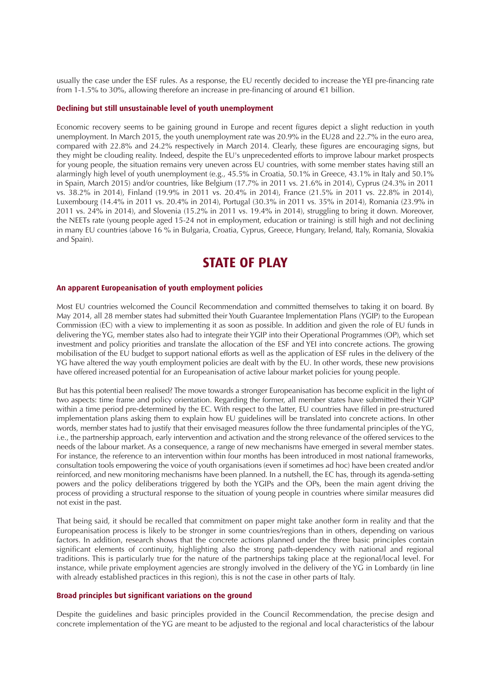usually the case under the ESF rules. As a response, the EU recently decided to increase the YEI pre-financing rate from 1-1.5% to 30%, allowing therefore an increase in pre-financing of around  $\epsilon$ 1 billion.

#### **Declining but still unsustainable level of youth unemployment**

Economic recovery seems to be gaining ground in Europe and recent figures depict a slight reduction in youth unemployment. In March 2015, the youth unemployment rate was 20.9% in the EU28 and 22.7% in the euro area, compared with 22.8% and 24.2% respectively in March 2014. Clearly, these figures are encouraging signs, but they might be clouding reality. Indeed, despite the EU's unprecedented efforts to improve labour market prospects for young people, the situation remains very uneven across EU countries, with some member states having still an alarmingly high level of youth unemployment (e.g., 45.5% in Croatia, 50.1% in Greece, 43.1% in Italy and 50.1% in Spain, March 2015) and/or countries, like Belgium (17.7% in 2011 vs. 21.6% in 2014), Cyprus (24.3% in 2011 vs. 38.2% in 2014), Finland (19.9% in 2011 vs. 20.4% in 2014), France (21.5% in 2011 vs. 22.8% in 2014), Luxembourg (14.4% in 2011 vs. 20.4% in 2014), Portugal (30.3% in 2011 vs. 35% in 2014), Romania (23.9% in 2011 vs. 24% in 2014), and Slovenia (15.2% in 2011 vs. 19.4% in 2014), struggling to bring it down. Moreover, the NEETs rate (young people aged 15-24 not in employment, education or training) is still high and not declining in many EU countries (above 16 % in Bulgaria, Croatia, Cyprus, Greece, Hungary, Ireland, Italy, Romania, Slovakia and Spain).

### **STATE OF PLAY**

#### **An apparent Europeanisation of youth employment policies**

Most EU countries welcomed the Council Recommendation and committed themselves to taking it on board. By May 2014, all 28 member states had submitted their Youth Guarantee Implementation Plans (YGIP) to the European Commission (EC) with a view to implementing it as soon as possible. In addition and given the role of EU funds in delivering the YG, member states also had to integrate their YGIP into their Operational Programmes (OP), which set investment and policy priorities and translate the allocation of the ESF and YEI into concrete actions. The growing mobilisation of the EU budget to support national efforts as well as the application of ESF rules in the delivery of the YG have altered the way youth employment policies are dealt with by the EU. In other words, these new provisions have offered increased potential for an Europeanisation of active labour market policies for young people.

But has this potential been realised? The move towards a stronger Europeanisation has become explicit in the light of two aspects: time frame and policy orientation. Regarding the former, all member states have submitted their YGIP within a time period pre-determined by the EC. With respect to the latter, EU countries have filled in pre-structured implementation plans asking them to explain how EU guidelines will be translated into concrete actions. In other words, member states had to justify that their envisaged measures follow the three fundamental principles of the YG, i.e., the partnership approach, early intervention and activation and the strong relevance of the offered services to the needs of the labour market. As a consequence, a range of new mechanisms have emerged in several member states. For instance, the reference to an intervention within four months has been introduced in most national frameworks, consultation tools empowering the voice of youth organisations (even if sometimes ad hoc) have been created and/or reinforced, and new monitoring mechanisms have been planned. In a nutshell, the EC has, through its agenda-setting powers and the policy deliberations triggered by both the YGIPs and the OPs, been the main agent driving the process of providing a structural response to the situation of young people in countries where similar measures did not exist in the past.

That being said, it should be recalled that commitment on paper might take another form in reality and that the Europeanisation process is likely to be stronger in some countries/regions than in others, depending on various factors. In addition, research shows that the concrete actions planned under the three basic principles contain significant elements of continuity, highlighting also the strong path-dependency with national and regional traditions. This is particularly true for the nature of the partnerships taking place at the regional/local level. For instance, while private employment agencies are strongly involved in the delivery of the YG in Lombardy (in line with already established practices in this region), this is not the case in other parts of Italy.

#### **Broad principles but significant variations on the ground**

Despite the guidelines and basic principles provided in the Council Recommendation, the precise design and concrete implementation of the YG are meant to be adjusted to the regional and local characteristics of the labour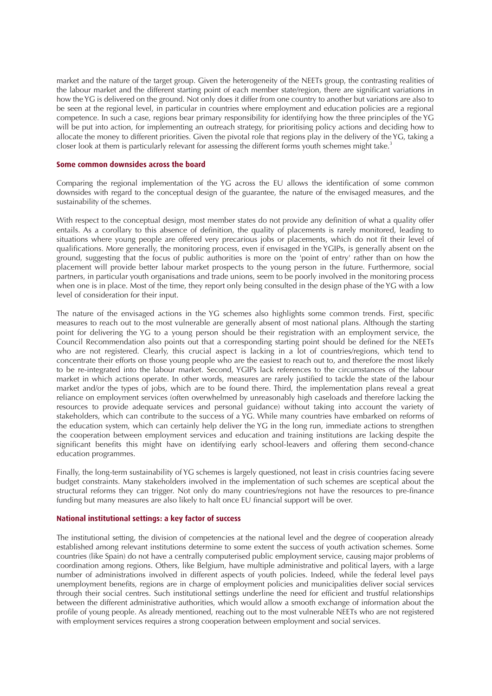market and the nature of the target group. Given the heterogeneity of the NEETs group, the contrasting realities of the labour market and the different starting point of each member state/region, there are significant variations in how the YG is delivered on the ground. Not only does it differ from one country to another but variations are also to be seen at the regional level, in particular in countries where employment and education policies are a regional competence. In such a case, regions bear primary responsibility for identifying how the three principles of the YG will be put into action, for implementing an outreach strategy, for prioritising policy actions and deciding how to allocate the money to different priorities. Given the pivotal role that regions play in the delivery of the YG, taking a closer look at them is particularly relevant for assessing the different forms youth schemes might take.<sup>3</sup>

#### **Some common downsides across the board**

Comparing the regional implementation of the YG across the EU allows the identification of some common downsides with regard to the conceptual design of the guarantee, the nature of the envisaged measures, and the sustainability of the schemes.

With respect to the conceptual design, most member states do not provide any definition of what a quality offer entails. As a corollary to this absence of definition, the quality of placements is rarely monitored, leading to situations where young people are offered very precarious jobs or placements, which do not fit their level of qualifications. More generally, the monitoring process, even if envisaged in the YGIPs, is generally absent on the ground, suggesting that the focus of public authorities is more on the 'point of entry' rather than on how the placement will provide better labour market prospects to the young person in the future. Furthermore, social partners, in particular youth organisations and trade unions, seem to be poorly involved in the monitoring process when one is in place. Most of the time, they report only being consulted in the design phase of the YG with a low level of consideration for their input.

The nature of the envisaged actions in the YG schemes also highlights some common trends. First, specific measures to reach out to the most vulnerable are generally absent of most national plans. Although the starting point for delivering the YG to a young person should be their registration with an employment service, the Council Recommendation also points out that a corresponding starting point should be defined for the NEETs who are not registered. Clearly, this crucial aspect is lacking in a lot of countries/regions, which tend to concentrate their efforts on those young people who are the easiest to reach out to, and therefore the most likely to be re-integrated into the labour market. Second, YGIPs lack references to the circumstances of the labour market in which actions operate. In other words, measures are rarely justified to tackle the state of the labour market and/or the types of jobs, which are to be found there. Third, the implementation plans reveal a great reliance on employment services (often overwhelmed by unreasonably high caseloads and therefore lacking the resources to provide adequate services and personal guidance) without taking into account the variety of stakeholders, which can contribute to the success of a YG. While many countries have embarked on reforms of the education system, which can certainly help deliver the YG in the long run, immediate actions to strengthen the cooperation between employment services and education and training institutions are lacking despite the significant benefits this might have on identifying early school-leavers and offering them second-chance education programmes.

Finally, the long-term sustainability of YG schemes is largely questioned, not least in crisis countries facing severe budget constraints. Many stakeholders involved in the implementation of such schemes are sceptical about the structural reforms they can trigger. Not only do many countries/regions not have the resources to pre-finance funding but many measures are also likely to halt once EU financial support will be over.

#### **National institutional settings: a key factor of success**

The institutional setting, the division of competencies at the national level and the degree of cooperation already established among relevant institutions determine to some extent the success of youth activation schemes. Some countries (like Spain) do not have a centrally computerised public employment service, causing major problems of coordination among regions. Others, like Belgium, have multiple administrative and political layers, with a large number of administrations involved in different aspects of youth policies. Indeed, while the federal level pays unemployment benefits, regions are in charge of employment policies and municipalities deliver social services through their social centres. Such institutional settings underline the need for efficient and trustful relationships between the different administrative authorities, which would allow a smooth exchange of information about the profile of young people. As already mentioned, reaching out to the most vulnerable NEETs who are not registered with employment services requires a strong cooperation between employment and social services.